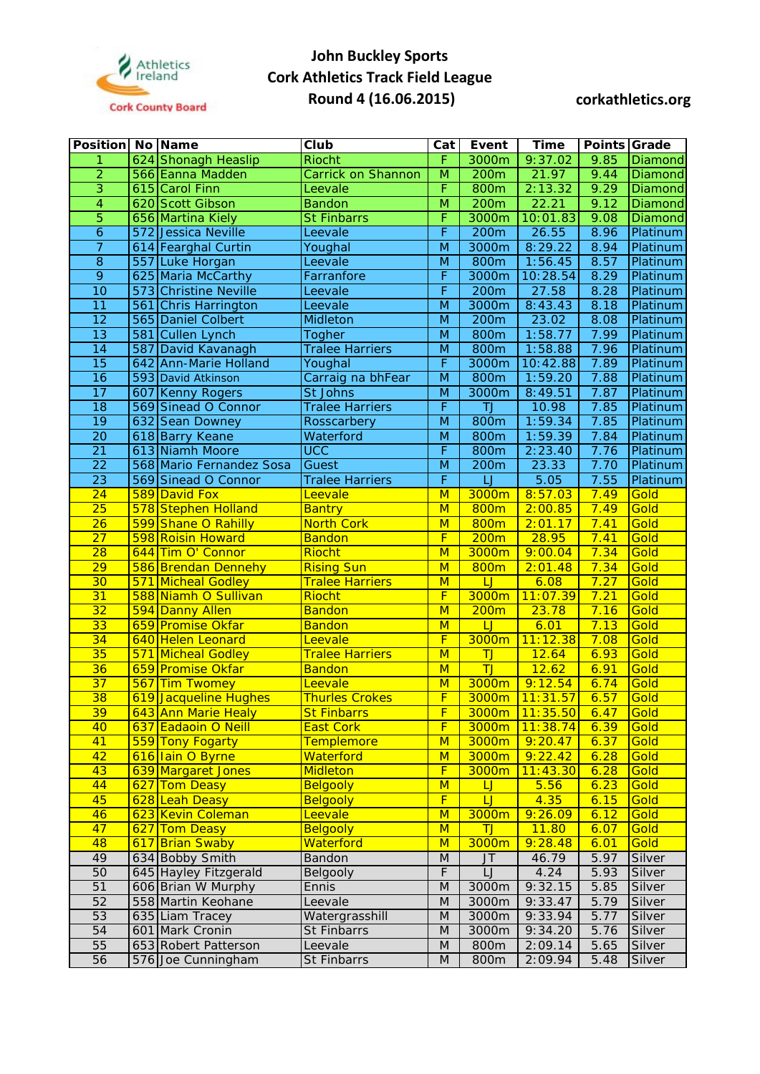

| <b>Position No Name</b> |     |                           | Club                   | Cat                     | Event           | <b>Time</b> | Points Grade |                |
|-------------------------|-----|---------------------------|------------------------|-------------------------|-----------------|-------------|--------------|----------------|
| 1                       |     | 624 Shonagh Heaslip       | <b>Riocht</b>          | F                       | 3000m           | 9:37.02     | 9.85         | Diamond        |
| $\overline{2}$          |     | 566 Eanna Madden          | Carrick on Shannon     | $\overline{\mathsf{M}}$ | 200m            | 21.97       | 9.44         | <b>Diamond</b> |
| $\overline{3}$          |     | 615 Carol Finn            | Leevale                | F                       | 800m            | 2:13.32     | 9.29         | <b>Diamond</b> |
| 4                       |     | 620 Scott Gibson          | <b>Bandon</b>          | $\overline{M}$          | 200m            | 22.21       | 9.12         | Diamond        |
| $\overline{5}$          |     | 656 Martina Kiely         | <b>St Finbarrs</b>     | F                       | 3000m           | 10:01.83    | 9.08         | Diamond        |
| $\overline{6}$          |     | 572 Jessica Neville       | Leevale                | F                       | 200m            | 26.55       | 8.96         | Platinum       |
| $\overline{7}$          |     | 614 Fearghal Curtin       | Youghal                | M                       | 3000m           | 8:29.22     | 8.94         | Platinum       |
| $\overline{8}$          | 557 | Luke Horgan               | Leevale                | M                       | 800m            | 1:56.45     | 8.57         | Platinum       |
| $\overline{9}$          |     | 625 Maria McCarthy        | Farranfore             | F                       | 3000m           | 10:28.54    | 8.29         | Platinum       |
| 10                      |     | 573 Christine Neville     | Leevale                | F                       | 200m            | 27.58       | 8.28         | Platinum       |
| $\overline{11}$         |     | 561 Chris Harrington      | Leevale                | $\overline{M}$          | 3000m           | 8:43.43     | 8.18         | Platinum       |
| $\overline{12}$         |     | 565 Daniel Colbert        | Midleton               | M                       | 200m            | 23.02       | 8.08         | Platinum       |
| $\overline{13}$         | 581 | Cullen Lynch              | Togher                 | M                       | 800m            | 1:58.77     | 7.99         | Platinum       |
| 14                      |     | 587 David Kavanagh        | <b>Tralee Harriers</b> | $\overline{M}$          | 800m            | 1:58.88     | 7.96         | Platinum       |
| $\overline{15}$         |     | 642 Ann-Marie Holland     | Youghal                | F                       | 3000m           | 10:42.88    | 7.89         | Platinum       |
| $\overline{16}$         |     | 593 David Atkinson        | Carraig na bhFear      | $\overline{M}$          | 800m            | 1:59.20     | 7.88         | Platinum       |
| $\overline{17}$         |     | 607 Kenny Rogers          | St Johns               | M                       | 3000m           | 8:49.51     | 7.87         | Platinum       |
| $\overline{18}$         |     | 569 Sinead O Connor       | <b>Tralee Harriers</b> | F                       | $\overline{J}$  | 10.98       | 7.85         | Platinum       |
| $\overline{19}$         |     | 632 Sean Downey           | Rosscarbery            | $\overline{M}$          | 800m            | 1:59.34     | 7.85         | Platinum       |
| 20                      |     | 618 Barry Keane           | Waterford              | M                       | 800m            | 1:59.39     | 7.84         | Platinum       |
| $\overline{21}$         |     | 613 Niamh Moore           | <b>UCC</b>             | F                       | 800m            | 2:23.40     | 7.76         | Platinum       |
| $\overline{22}$         |     | 568 Mario Fernandez Sosa  | Guest                  | M                       | 200m            | 23.33       | 7.70         | Platinum       |
| $\overline{23}$         |     | 569 Sinead O Connor       | <b>Tralee Harriers</b> | F                       |                 | 5.05        | 7.55         | Platinum       |
| 24                      |     | 589 David Fox             | Leevale                | $\overline{\mathsf{M}}$ | 3000m           | 8:57.03     | 7.49         | Gold           |
| $\overline{25}$         |     | 578 Stephen Holland       | <b>Bantry</b>          | M                       | 800m            | 2:00.85     | 7.49         | Gold           |
| $\overline{26}$         |     | 599 Shane O Rahilly       | <b>North Cork</b>      | M                       | 800m            | 2:01.17     | 7.41         | Gold           |
| $\overline{27}$         |     | 598 Roisin Howard         | <b>Bandon</b>          | F                       | 200m            | 28.95       | 7.41         | Gold           |
| $\overline{28}$         |     | 644 Tim O' Connor         | <b>Riocht</b>          | $\overline{\mathsf{M}}$ | 3000m           | 9:00.04     | 7.34         | Gold           |
| $\overline{29}$         |     | 586 Brendan Dennehy       | <b>Rising Sun</b>      | $\overline{\mathsf{M}}$ | 800m            | 2:01.48     | 7.34         | Gold           |
| 30                      |     | 571 Micheal Godley        | <b>Tralee Harriers</b> | M                       | $\cup$          | 6.08        | 7.27         | Gold           |
| 31                      |     | 588 Niamh O Sullivan      | Riocht                 | F                       | 3000m           | 11:07.39    | 7.21         | Gold           |
| 32                      |     | 594 Danny Allen           | <b>Bandon</b>          | M                       | 200m            | 23.78       | 7.16         | Gold           |
| 33                      |     | 659 Promise Okfar         | <b>Bandon</b>          | M                       | $\overline{LJ}$ | 6.01        | 7.13         | Gold           |
| 34                      |     | 640 Helen Leonard         | Leevale                | F                       | 3000m           | 11:12.38    | 7.08         | Gold           |
| 35                      |     | <b>571 Micheal Godley</b> | <b>Tralee Harriers</b> | M                       | $\overline{J}$  | 12.64       | 6.93         | Gold           |
| 36                      |     | 659 Promise Okfar         | <b>Bandon</b>          | M                       | TJ              | 12.62       | 6.91         | Gold           |
| $\overline{37}$         |     | 567 Tim Twomey            | Leevale                | M                       | 3000m           | 9:12.54     | 6.74         | Gold           |
| 38                      |     | 619 Jacqueline Hughes     | <b>Thurles Crokes</b>  | F                       | 3000m           | 11:31.57    | 6.57         | Gold           |
| 39                      |     | 643 Ann Marie Healy       | <b>St Finbarrs</b>     | $\overline{F}$          | 3000m           | 11:35.50    | 6.47         | Gold           |
| 40                      |     | 637 Eadaoin O Neill       | <b>East Cork</b>       | F                       | 3000m           | 11:38.74    | 6.39         | Gold           |
| 41                      |     | 559 Tony Fogarty          | <b>Templemore</b>      | M                       | 3000m           | 9:20.47     | 6.37         | Gold           |
| 42                      |     | 616 Iain O Byrne          | Waterford              | M                       | 3000m           | 9:22.42     | 6.28         | Gold           |
| 43                      |     | 639 Margaret Jones        | <b>Midleton</b>        | F                       | 3000m           | 11:43.30    | 6.28         | Gold           |
| 44                      |     | 627 Tom Deasy             | <b>Belgooly</b>        | M                       | $\overline{L}$  | 5.56        | 6.23         | Gold           |
| 45                      |     | 628 Leah Deasy            | <b>Belgooly</b>        | F                       | $\cup$          | 4.35        | 6.15         | Gold           |
| 46                      |     | 623 Kevin Coleman         | Leevale                | M                       | 3000m           | 9:26.09     | 6.12         | Gold           |
| 47                      |     | 627 Tom Deasy             | <b>Belgooly</b>        | M                       | <b>TJ</b>       | 11.80       | 6.07         | Gold           |
| 48                      |     | 617 Brian Swaby           | Waterford              | M                       | 3000m           | 9:28.48     | 6.01         | Gold           |
| 49                      |     | 634 Bobby Smith           | Bandon                 | M                       | J <sub>T</sub>  | 46.79       | 5.97         | Silver         |
| 50                      |     | 645 Hayley Fitzgerald     | Belgooly               | F                       | LJ              | 4.24        | 5.93         | Silver         |
| 51                      |     | 606 Brian W Murphy        | Ennis                  | $\overline{M}$          | 3000m           | 9:32.15     | 5.85         | Silver         |
| 52                      |     | 558 Martin Keohane        | Leevale                | M                       | 3000m           | 9:33.47     | 5.79         | Silver         |
| 53                      |     | 635 Liam Tracey           | Watergrasshill         | M                       | 3000m           | 9:33.94     | 5.77         | Silver         |
| 54                      |     | 601 Mark Cronin           | St Finbarrs            | M                       | 3000m           | 9:34.20     | 5.76         | Silver         |
| 55<br>56                |     | 653 Robert Patterson      | Leevale                | M<br>M                  | 800m<br>800m    | 2:09.14     | 5.65         | Silver         |
|                         |     | 576 Joe Cunningham        | St Finbarrs            |                         |                 | 2:09.94     | 5.48         | Silver         |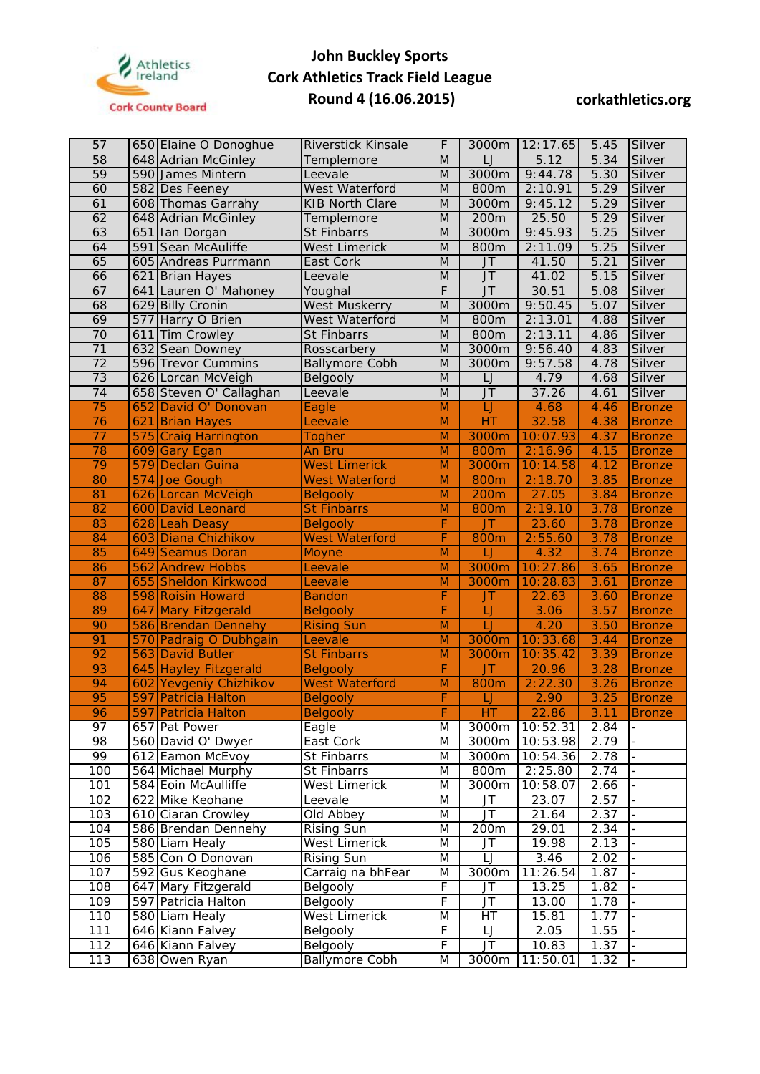

| 57              |     | 650 Elaine O Donoghue                         | Riverstick Kinsale                       | F              | 3000m                             | 12:17.65        | 5.45         | Silver                   |
|-----------------|-----|-----------------------------------------------|------------------------------------------|----------------|-----------------------------------|-----------------|--------------|--------------------------|
| $\overline{58}$ |     | 648 Adrian McGinley                           | Templemore                               | M              | LJ                                | 5.12            | 5.34         | Silver                   |
| 59              |     | 590 James Mintern                             | Leevale                                  | M              | 3000m                             | 9:44.78         | 5.30         | Silver                   |
| 60              |     | 582 Des Feeney                                | West Waterford                           | M              | 800m                              | 2:10.91         | 5.29         | Silver                   |
| 61              |     | 608 Thomas Garrahy                            | <b>KIB North Clare</b>                   | $\overline{M}$ | 3000m                             | 9:45.12         | 5.29         | Silver                   |
| 62              |     | 648 Adrian McGinley                           | Templemore                               | M              | 200m                              | 25.50           | 5.29         | Silver                   |
| 63              |     | 651 Ian Dorgan                                | St Finbarrs                              | M              | 3000m                             | 9:45.93         | 5.25         | Silver                   |
| 64              | 591 | Sean McAuliffe                                | <b>West Limerick</b>                     | M              | 800m                              | 2:11.09         | 5.25         | Silver                   |
| 65              |     | 605 Andreas Purrmann                          | East Cork                                | M              | $J$ T                             | 41.50           | 5.21         | Silver                   |
| 66              |     | 621 Brian Hayes                               | Leevale                                  | M              | $J\overline{T}$                   | 41.02           | 5.15         | Silver                   |
| 67              |     | 641 Lauren O' Mahoney                         | Youghal                                  | F              | $J\overline{T}$                   | 30.51           | 5.08         | Silver                   |
| 68              |     | 629 Billy Cronin                              | <b>West Muskerry</b>                     | M              | 3000m                             | 9:50.45         | 5.07         | Silver                   |
| 69              |     | 577 Harry O Brien                             | West Waterford                           | M              | 800m                              | 2:13.01         | 4.88         | Silver                   |
| 70              |     | 611 Tim Crowley                               | St Finbarrs                              | M              | 800m                              | 2:13.11         | 4.86         | Silver                   |
| 71              |     | 632 Sean Downey                               | Rosscarbery                              | M              | 3000m                             | 9:56.40         | 4.83         | Silver                   |
| $\overline{72}$ |     | 596 Trevor Cummins                            | <b>Ballymore Cobh</b>                    | M              | 3000m                             | 9:57.58         | 4.78         | Silver                   |
| 73              |     | 626 Lorcan McVeigh                            | Belgooly                                 | M              | IJ                                | 4.79            | 4.68         | Silver                   |
| 74              |     | 658 Steven O' Callaghan                       | Leevale                                  | M              | $J\overline{T}$                   | 37.26           | 4.61         | Silver                   |
| 75              | 652 | David O' Donovan                              | Eagle                                    | M              | $\overline{\sqcup}$               | 4.68            | 4.46         | <b>Bronze</b>            |
| 76              | 621 | <b>Brian Hayes</b>                            | Leevale                                  | $\overline{M}$ | HT                                | 32.58           | 4.38         | <b>Bronze</b>            |
| 77              | 575 | Craig Harrington                              | <b>Togher</b>                            | M              | 3000m                             | 10:07.93        | 4.37         | <b>Bronze</b>            |
| 78              | 609 | Gary Egan                                     | An Bru                                   | M              | 800m                              | 2:16.96         | 4.15         | <b>Bronze</b>            |
| 79              |     | 579 Declan Guina                              | <b>West Limerick</b>                     | M              | 3000m                             | 10:14.58        | 4.12         | <b>Bronze</b>            |
| 80              |     | 574 Joe Gough                                 | <b>West Waterford</b>                    | M              | 800m                              | 2:18.70         | 3.85         | <b>Bronze</b>            |
| 81              |     | 626 Lorcan McVeigh                            | <b>Belgooly</b>                          | M              | 200m                              | 27.05           | 3.84         | <b>Bronze</b>            |
| 82              |     | 600 David Leonard                             | <b>St Finbarrs</b>                       | M              | 800m                              | 2:19.10         | 3.78         | <b>Bronze</b>            |
| 83              |     | 628 Leah Deasy                                | <b>Belgooly</b>                          | F              | <b>JT</b>                         | 23.60           | 3.78         | <b>Bronze</b>            |
| 84              | 603 | Diana Chizhikov                               | <b>West Waterford</b>                    | F              | 800m                              | 2:55.60         | 3.78         | <b>Bronze</b>            |
| 85              |     | 649 Seamus Doran                              | <b>Moyne</b>                             | $\overline{M}$ | $\overline{LJ}$                   | 4.32            | 3.74         | <b>Bronze</b>            |
| 86              | 562 | <b>Andrew Hobbs</b>                           | Leevale                                  | $\overline{M}$ | 3000m                             | 10:27.86        | 3.65         | <b>Bronze</b>            |
| 87              | 655 | Sheldon Kirkwood                              | Leevale                                  | M              | 3000m                             | 10:28.83        | 3.61         | <b>Bronze</b>            |
| 88              |     | 598 Roisin Howard                             | <b>Bandon</b>                            | F              | JT.                               | 22.63           | 3.60         | <b>Bronze</b>            |
| 89              | 647 | Mary Fitzgerald                               | <b>Belgooly</b>                          | F              | $\overline{L}$                    | 3.06            | 3.57         | <b>Bronze</b>            |
| 90              |     | 586 Brendan Dennehy                           | <b>Rising Sun</b>                        | M              | $\overline{L}$                    | 4.20            | 3.50         | <b>Bronze</b>            |
| 91              |     | 570 Padraig O Dubhgain                        | Leevale                                  | $\overline{M}$ | 3000m                             | 10:33.68        | 3.44         | <b>Bronze</b>            |
| 92              |     | 563 David Butler                              | <b>St Finbarrs</b>                       | M              | 3000m                             | 10:35.42        | 3.39         | <b>Bronze</b>            |
| 93<br>94        |     | 645 Hayley Fitzgerald                         | <b>Belgooly</b><br><b>West Waterford</b> | F              | JT.                               | 20.96           | 3.28         | <b>Bronze</b>            |
| 95              |     | 602 Yevgeniy Chizhikov<br>597 Patricia Halton |                                          | M<br>F         | 800m<br>$\sqcup$                  | 2:22.30<br>2.90 | 3.26<br>3.25 | <b>Bronze</b>            |
| 96              |     | 597 Patricia Halton                           | <b>Belgooly</b><br><b>Belgooly</b>       | Ŧ              | HT                                | 22.86           | 3.11         | <b>Bronze</b>            |
| 97              |     | 657 Pat Power                                 | Eagle                                    | M              | 3000m                             | 10:52.31        | 2.84         | <b>Bronze</b>            |
| $\overline{98}$ |     | 560 David O' Dwyer                            | East Cork                                | M              | 3000m                             | 10:53.98        | 2.79         |                          |
| 99              |     | 612 Eamon McEvoy                              | St Finbarrs                              | M              | 3000m                             | 10:54.36        | 2.78         |                          |
| 100             |     | 564 Michael Murphy                            | St Finbarrs                              | M              | 800m                              | 2:25.80         | 2.74         | $\overline{\phantom{a}}$ |
| 101             |     | 584 Eoin McAulliffe                           | <b>West Limerick</b>                     | M              | 3000m                             | 10:58.07        | 2.66         | $\overline{a}$           |
| 102             |     | 622 Mike Keohane                              | Leevale                                  | M              | JT                                | 23.07           | 2.57         | $\Box$                   |
| 103             |     | 610 Ciaran Crowley                            | Old Abbey                                | M              | $\overline{\mathsf{J}\mathsf{T}}$ | 21.64           | 2.37         | $\blacksquare$           |
| 104             |     | 586 Brendan Dennehy                           | <b>Rising Sun</b>                        | M              | $\overline{2}00m$                 | 29.01           | 2.34         |                          |
| 105             |     | 580 Liam Healy                                | <b>West Limerick</b>                     | M              | JT                                | 19.98           | 2.13         | $\blacksquare$           |
| 106             |     | 585 Con O Donovan                             | <b>Rising Sun</b>                        | M              | IJ                                | 3.46            | 2.02         |                          |
| 107             |     | 592 Gus Keoghane                              | Carraig na bhFear                        | M              | 3000m                             | 11:26.54        | 1.87         |                          |
| 108             |     | 647 Mary Fitzgerald                           | Belgooly                                 | F              | JT                                | 13.25           | 1.82         |                          |
| 109             |     | 597 Patricia Halton                           | Belgooly                                 | F              | $\overline{J}$                    | 13.00           | 1.78         | $\overline{a}$           |
| 110             |     | 580 Liam Healy                                | <b>West Limerick</b>                     | M              | НT                                | 15.81           | 1.77         | $\overline{a}$           |
| 111             |     | 646 Kiann Falvey                              | Belgooly                                 | F              | $\boxed{ \ }$                     | 2.05            | 1.55         | $\overline{a}$           |
| 112             |     |                                               |                                          | F              | JT                                | 10.83           |              |                          |
|                 |     | 646 Kiann Falvey                              | Belgooly<br><b>Ballymore Cobh</b>        |                |                                   |                 | 1.37         | $\omega$                 |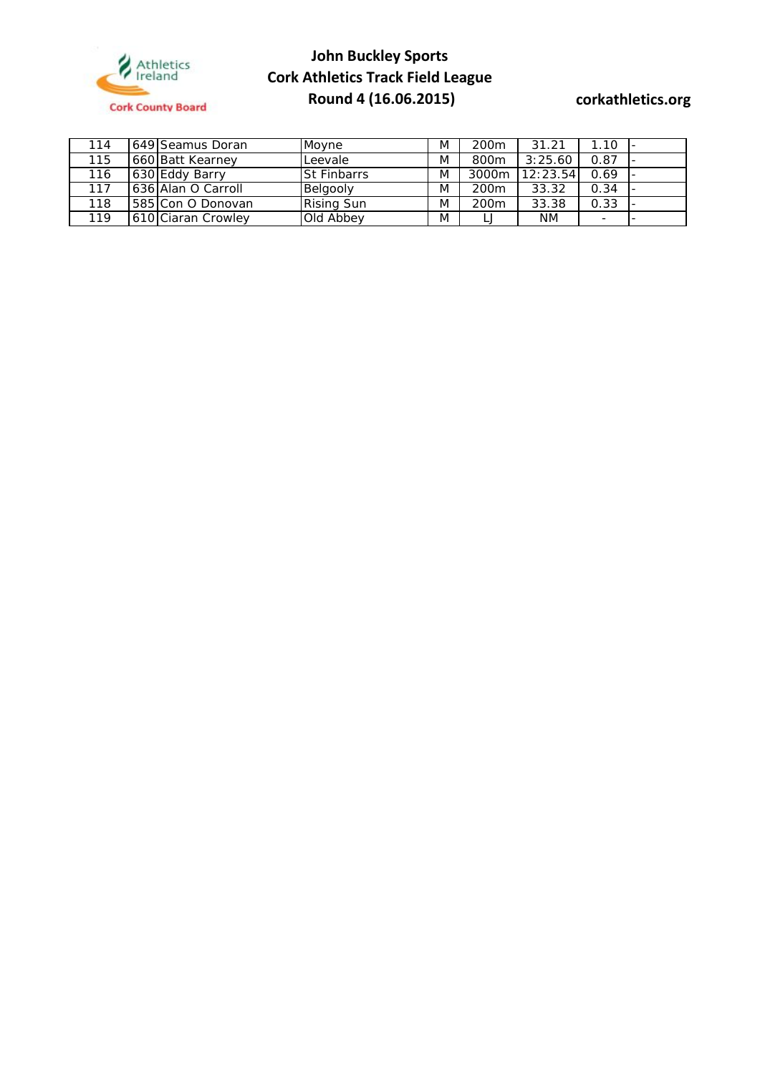

| 114 | 649 Seamus Doran   | Movne              | M | 200 <sub>m</sub> | 31.21    | 1.10                     |  |
|-----|--------------------|--------------------|---|------------------|----------|--------------------------|--|
| 115 | 660 Batt Kearney   | Leevale            | M | 800m             | 3:25.60  | 0.87                     |  |
| 116 | 630 Eddy Barry     | <b>St Finbarrs</b> | M | 3000m            | 12:23.54 | 0.69                     |  |
| 117 | 636 Alan O Carroll | Belgooly           | M | 200 <sub>m</sub> | 33.32    | 0.34                     |  |
| 118 | 1585 Con O Donovan | <b>Rising Sun</b>  | M | 200 <sub>m</sub> | 33.38    | 0.33                     |  |
| 119 | 610 Ciaran Crowley | Old Abbey          | M |                  | NΜ       | $\overline{\phantom{0}}$ |  |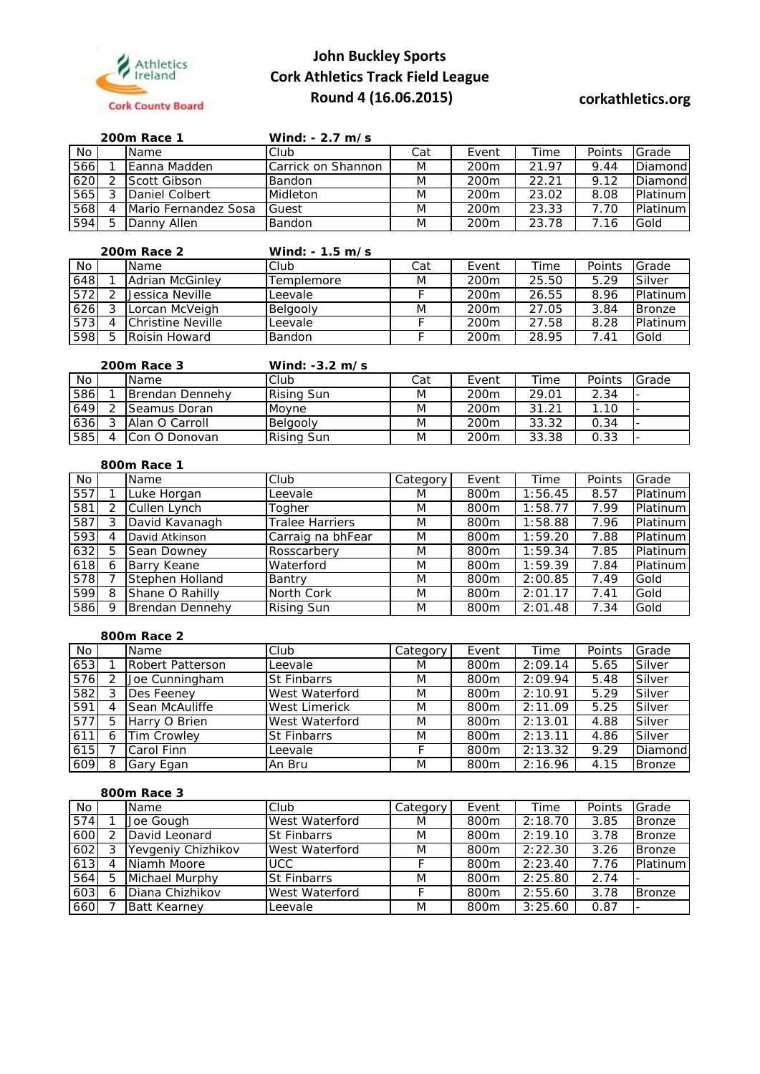

|     |   | 200m Race 1          | Wind: $-2.7$ m/s   |     |                  |       |        |                 |
|-----|---|----------------------|--------------------|-----|------------------|-------|--------|-----------------|
| No. |   | <b>Name</b>          | Club               | Cat | Event            | Time  | Points | Grade           |
| 566 |   | Eanna Madden         | Carrick on Shannon | M   | 200 <sub>m</sub> | 21.97 | 9.44   | Diamond         |
| 620 |   | Scott Gibson         | <b>Bandon</b>      | M   | 200 <sub>m</sub> | 22.21 | 9.12   | Diamond         |
| 565 |   | Daniel Colbert       | Midleton           | M   | 200m             | 23.02 | 8.08   | <b>Platinum</b> |
| 568 | Δ | Mario Fernandez Sosa | Guest              | M   | 200m             | 23.33 | 7.70   | <b>Platinum</b> |
| 594 | 片 | Danny Allen          | Bandon             | M   | 200m             | 23.78 | 7.16   | Gold            |

|     |   | 200m Race 2       | Wind: $-1.5$ m/s |     |                  |       |        |                 |
|-----|---|-------------------|------------------|-----|------------------|-------|--------|-----------------|
| No  |   | Name              | Club             | Cat | Event            | Time  | Points | Grade           |
| 648 |   | Adrian McGinlev   | Templemore       | M   | 200m             | 25.50 | 5.29   | Silver          |
| 572 | っ | Jessica Neville   | Leevale          |     | 200m             | 26.55 | 8.96   | <b>Platinum</b> |
| 626 | 3 | Lorcan McVeigh    | Belgooly         | M   | 200 <sub>m</sub> | 27.05 | 3.84   | <b>Bronze</b>   |
| 573 | 4 | Christine Neville | Leevale          |     | 200 <sub>m</sub> | 27.58 | 8.28   | <b>Platinum</b> |
| 598 | 5 | Roisin Howard     | Bandon           |     | 200 <sub>m</sub> | 28.95 | 7.41   | Gold            |

|     | 200m Race 3     | Wind: $-3.2$ m/s  |     |                  |       |        |       |
|-----|-----------------|-------------------|-----|------------------|-------|--------|-------|
| No. | <b>Name</b>     | Club              | Cat | Event            | Time  | Points | Grade |
| 586 | Brendan Dennehy | <b>Rising Sun</b> | M   | 200 <sub>m</sub> | 29.01 | 2.34   |       |
| 649 | Seamus Doran    | Movne             | M   | 200 <sub>m</sub> | 31.21 | 1.10   |       |
| 636 | Alan O Carroll  | Belgooly          | M   | 200 <sub>m</sub> | 33.32 | 0.34   |       |
| 585 | Con O Donovan   | Rising Sun        | M   | 200 <sub>m</sub> | 33.38 | 0.33   |       |

### **800m Race 1**

| No  |   | Name            | Club                   | Category | Event | Time    | Points | Grade    |
|-----|---|-----------------|------------------------|----------|-------|---------|--------|----------|
| 557 |   | Luke Horgan     | Leevale                | M        | 800m  | 1:56.45 | 8.57   | Platinum |
| 581 | 2 | Cullen Lynch    | Toaher                 | M        | 800m  | 1:58.77 | 7.99   | Platinum |
| 587 | 3 | David Kavanagh  | <b>Tralee Harriers</b> | M        | 800m  | 1:58.88 | 7.96   | Platinum |
| 593 | 4 | David Atkinson  | Carraig na bhFear      | M        | 800m  | 1:59.20 | 7.88   | Platinum |
| 632 | 5 | Sean Downey     | Rosscarbery            | M        | 800m  | 1:59.34 | 7.85   | Platinum |
| 618 | 6 | Barry Keane     | Waterford              | M        | 800m  | 1:59.39 | 7.84   | Platinum |
| 578 |   | Stephen Holland | Bantry                 | M        | 800m  | 2:00.85 | 7.49   | Gold     |
| 599 | 8 | Shane O Rahilly | North Cork             | M        | 800m  | 2:01.17 | 7.41   | Gold     |
| 586 | Q | Brendan Dennehy | <b>Rising Sun</b>      | M        | 800m  | 2:01.48 | 7.34   | Gold     |

## **800m Race 2**

| No  |   | Name                    | Club                 | Category | Event | Time    | Points | Grade         |
|-----|---|-------------------------|----------------------|----------|-------|---------|--------|---------------|
| 653 |   | <b>Robert Patterson</b> | Leevale              | M        | 800m  | 2:09.14 | 5.65   | Silver        |
| 576 |   | Joe Cunningham          | <b>St Finbarrs</b>   | M        | 800m  | 2:09.94 | 5.48   | Silver        |
| 582 |   | Des Feenev              | West Waterford       | M        | 800m  | 2:10.91 | 5.29   | Silver        |
| 591 | 4 | Sean McAuliffe          | <b>West Limerick</b> | M        | 800m  | 2:11.09 | 5.25   | Silver        |
| 577 | 5 | Harry O Brien           | West Waterford       | M        | 800m  | 2:13.01 | 4.88   | Silver        |
| 611 | 6 | <b>Tim Crowley</b>      | <b>St Finbarrs</b>   | M        | 800m  | 2:13.11 | 4.86   | Silver        |
| 615 |   | Carol Finn              | Leevale              |          | 800m  | 2:13.32 | 9.29   | Diamond       |
| 609 | 8 | Gary Egan               | An Bru               | M        | 800m  | 2:16.96 | 4.15   | <b>Bronze</b> |

### **800m Race 3**

| No  |   | Name                | Club               | Category | Event            | Time    | Points | Grade         |
|-----|---|---------------------|--------------------|----------|------------------|---------|--------|---------------|
| 574 |   | Joe Gough           | West Waterford     | M        | 800m             | 2:18.70 | 3.85   | <b>Bronze</b> |
| 600 |   | David Leonard       | <b>St Finbarrs</b> | M        | 800m             | 2:19.10 | 3.78   | <b>Bronze</b> |
| 602 |   | Yevgeniy Chizhikov  | West Waterford     | M        | 800m             | 2:22.30 | 3.26   | <b>Bronze</b> |
| 613 |   | Niamh Moore         | <b>UCC</b>         |          | 800 <sub>m</sub> | 2:23.40 | 7.76   | Platinum      |
| 564 | 5 | Michael Murphy      | <b>St Finbarrs</b> | M        | 800m             | 2:25.80 | 2.74   |               |
| 603 | 6 | Diana Chizhikov     | West Waterford     |          | 800m             | 2:55.60 | 3.78   | <b>Bronze</b> |
| 660 |   | <b>Batt Kearney</b> | Leevale            | M        | 800m             | 3:25.60 | 0.87   |               |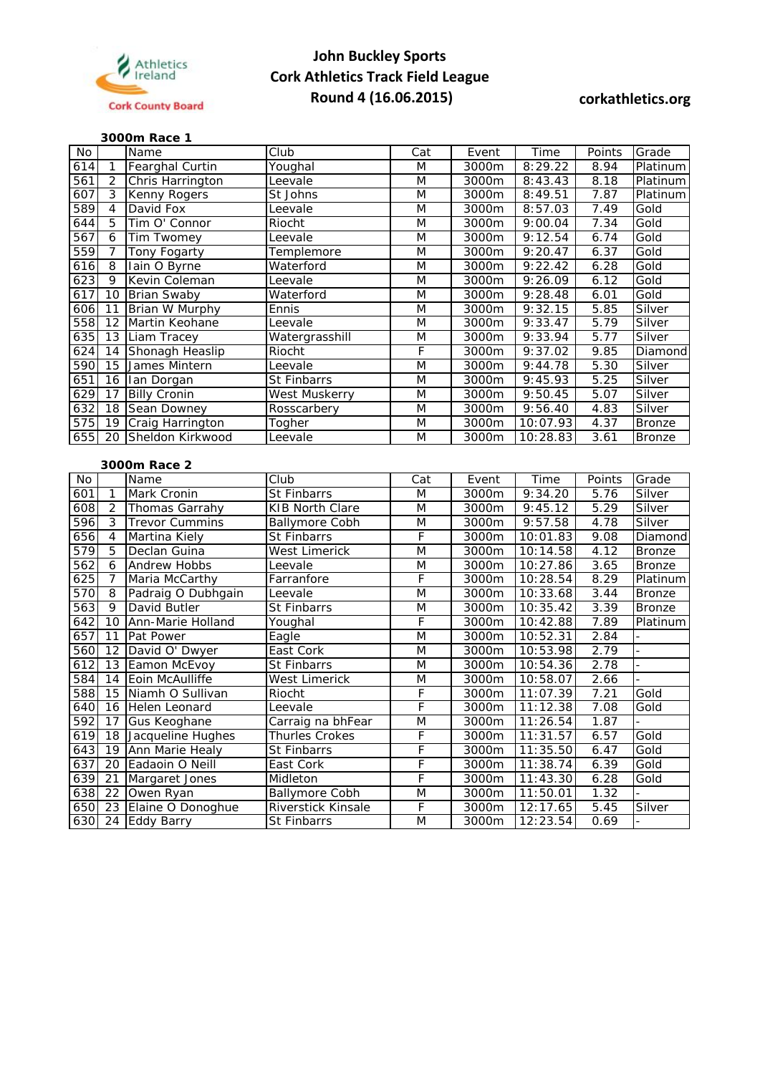

## **3000m Race 1**

| No         |                 | Name                  | Club                                        | Cat                     | Event | Time                  | Points            | Grade          |
|------------|-----------------|-----------------------|---------------------------------------------|-------------------------|-------|-----------------------|-------------------|----------------|
| 614        | 1               | Fearghal Curtin       | Youghal                                     | M                       | 3000m | 8:29.22               | 8.94              | Platinum       |
| 561        | $\overline{2}$  | Chris Harrington      | Leevale                                     | M                       | 3000m | 8:43.43               | 8.18              | Platinum       |
| 607        | 3               | <b>Kenny Rogers</b>   | St Johns                                    | $\overline{\mathsf{M}}$ | 3000m | 8:49.51               | 7.87              | Platinum       |
| 589        | 4               | David Fox             | Leevale                                     | M                       | 3000m | 8:57.03               | 7.49              | Gold           |
| 644        | 5               | Tim O' Connor         | Riocht                                      | M                       | 3000m | 9:00.04               | 7.34              | Gold           |
| 567        | 6               | Tim Twomey            | Leevale                                     | M                       | 3000m | 9:12.54               | 6.74              | Gold           |
| 559        | $\overline{7}$  | Tony Fogarty          | Templemore                                  | M                       | 3000m | 9:20.47               | 6.37              | Gold           |
| 616        | 8               | lain O Byrne          | Waterford                                   | M                       | 3000m | 9:22.42               | 6.28              | Gold           |
| 623        | 9               | Kevin Coleman         | Leevale                                     | M                       | 3000m | 9:26.09               | 6.12              | Gold           |
| 617        | 10              | <b>Brian Swaby</b>    | Waterford                                   | $\overline{\mathsf{M}}$ | 3000m | 9:28.48               | 6.01              | Gold           |
| 606        | $\overline{11}$ | Brian W Murphy        | Ennis                                       | M                       | 3000m | 9:32.15               | 5.85              | Silver         |
| 558        | $\overline{12}$ | Martin Keohane        | Leevale                                     | M                       | 3000m | 9:33.47               | 5.79              | Silver         |
| 635        |                 | 13 Liam Tracey        | Watergrasshill                              | M                       | 3000m | 9:33.94               | $\overline{5.77}$ | Silver         |
| 624        | 14              | Shonagh Heaslip       | Riocht                                      | F                       | 3000m | 9:37.02               | 9.85              | Diamond        |
| 590        | $\overline{15}$ | James Mintern         | Leevale                                     | $\overline{\mathsf{M}}$ | 3000m | 9:44.78               | 5.30              | Silver         |
| 651        |                 | 16 Ian Dorgan         | St Finbarrs                                 | M                       | 3000m | 9:45.93               | 5.25              | Silver         |
| 629        | 17              | <b>Billy Cronin</b>   | West Muskerry                               | M                       | 3000m | 9:50.45               | 5.07              | Silver         |
| 632        |                 | 18 Sean Downey        | Rosscarbery                                 | M                       | 3000m | 9:56.40               | 4.83              | Silver         |
| 575        |                 | 19 Craig Harrington   | Togher                                      | $\overline{\mathsf{M}}$ | 3000m | 10:07.93              | 4.37              | <b>Bronze</b>  |
| 655        | 20              | Sheldon Kirkwood      | Leevale                                     | M                       | 3000m | 10:28.83              | 3.61              | <b>Bronze</b>  |
|            |                 |                       |                                             |                         |       |                       |                   |                |
|            | 3000m Race 2    |                       |                                             |                         |       |                       |                   |                |
| No         |                 | Name                  | Club                                        | Cat                     | Event | Time                  | Points            | Grade          |
| 601        | 1               | Mark Cronin           | <b>St Finbarrs</b>                          | M                       | 3000m | 9:34.20               | 5.76              | Silver         |
| 608        | $\overline{2}$  | Thomas Garrahy        | <b>KIB North Clare</b>                      | M                       | 3000m | 9:45.12               | 5.29              | Silver         |
| 596        | 3               | <b>Trevor Cummins</b> | <b>Ballymore Cobh</b>                       | M                       | 3000m | 9:57.58               | 4.78              | Silver         |
| 656        | $\overline{4}$  | Martina Kiely         | <b>St Finbarrs</b>                          | $\overline{F}$          | 3000m | 10:01.83              | 9.08              | Diamond        |
| 579        | 5               | Declan Guina          | <b>West Limerick</b>                        | $\overline{\mathsf{M}}$ | 3000m | 10:14.58              | 4.12              | <b>Bronze</b>  |
| 562        | 6               | <b>Andrew Hobbs</b>   | Leevale                                     | $\overline{\mathsf{M}}$ | 3000m | 10:27.86              | 3.65              | <b>Bronze</b>  |
| 625        | 7               | Maria McCarthy        | Farranfore                                  | $\overline{F}$          | 3000m | 10:28.54              | 8.29              | Platinum       |
| 570        | 8               | Padraig O Dubhgain    | Leevale                                     | $\overline{\mathsf{M}}$ | 3000m | 10:33.68              | 3.44              | <b>Bronze</b>  |
| 563        | 9               | David Butler          | St Finbarrs                                 | M                       | 3000m | 10:35.42              | 3.39              | <b>Bronze</b>  |
| 642        | 10              | Ann-Marie Holland     | Youghal                                     | F                       | 3000m | 10:42.88              | 7.89              | Platinum       |
| 657        | 11              | Pat Power             | Eagle                                       | M                       | 3000m | 10:52.31              | 2.84              |                |
| 560        | $\overline{12}$ | David O' Dwyer        | East Cork                                   | M                       | 3000m | 10:53.98              | 2.79              | L.             |
| 612        |                 | 13 Eamon McEvoy       | St Finbarrs                                 | $\overline{\mathsf{M}}$ | 3000m | 10:54.36              | 2.78              | $\overline{a}$ |
| 584        | 14              | Eoin McAulliffe       | West Limerick                               | M                       | 3000m | 10:58.07              | 2.66              |                |
| 588        | 15              | Niamh O Sullivan      | Riocht                                      | F                       | 3000m | 11:07.39              | 7.21              | Gold           |
| 640        |                 | 16 Helen Leonard      | Leevale                                     | F                       | 3000m | $11:12.\overline{38}$ | 7.08              | Gold           |
| 592        |                 | 17 Gus Keoghane       | Carraig na bhFear                           | M                       | 3000m | 11:26.54              | 1.87              |                |
| 619        |                 | 18 Jacqueline Hughes  | Thurles Crokes                              | F                       | 3000m | 11:31.57              | 6.57              | Gold           |
| 643        |                 | 19 Ann Marie Healy    | St Finbarrs                                 | F                       | 3000m | 11:35.50              | 6.47              | Gold           |
| 637        |                 | 20 Eadaoin O Neill    | East Cork                                   | $\overline{F}$          | 3000m | 11:38.74              | 6.39              | Gold           |
| 639        |                 | Margaret Jones        | Midleton                                    | F                       | 3000m | 11:43.30              | 6.28              | Gold           |
|            | 21              |                       |                                             |                         |       |                       |                   |                |
|            | 22              | Owen Ryan             |                                             | M                       | 3000m |                       | 1.32              |                |
| 638<br>650 | 23              | Elaine O Donoghue     | <b>Ballymore Cobh</b><br>Riverstick Kinsale | $\mathsf F$             | 3000m | 11:50.01<br>12:17.65  | 5.45              | Silver         |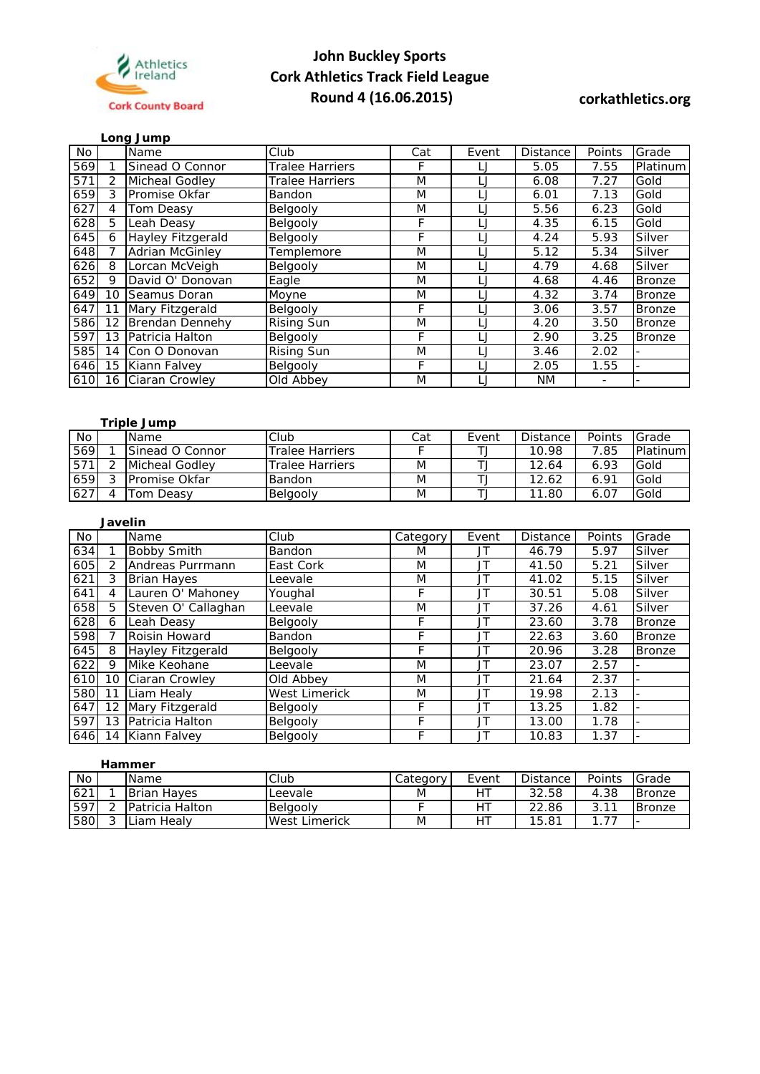

|     |    | Long Jump              |                        |     |        |                 |        |               |
|-----|----|------------------------|------------------------|-----|--------|-----------------|--------|---------------|
| No. |    | Name                   | Club                   | Cat | Event  | <b>Distance</b> | Points | Grade         |
| 569 |    | Sinead O Connor        | Tralee Harriers        | F   | IJ     | 5.05            | 7.55   | Platinum      |
| 571 | 2  | Micheal Godley         | <b>Tralee Harriers</b> | M   | IJ     | 6.08            | 7.27   | Gold          |
| 659 | 3  | Promise Okfar          | <b>Bandon</b>          | M   | IJ     | 6.01            | 7.13   | Gold          |
| 627 | 4  | Tom Deasv              | Belgooly               | M   | IJ     | 5.56            | 6.23   | Gold          |
| 628 | 5  | Leah Deasy             | Belgooly               | F   | IJ     | 4.35            | 6.15   | Gold          |
| 645 | 6  | Hayley Fitzgerald      | Belgooly               | F   | IJ     | 4.24            | 5.93   | Silver        |
| 648 |    | <b>Adrian McGinley</b> | Templemore             | M   | IJ     | 5.12            | 5.34   | Silver        |
| 626 | 8  | Lorcan McVeigh         | Belgooly               | M   |        | 4.79            | 4.68   | Silver        |
| 652 | 9  | David O' Donovan       | Eagle                  | M   | IJ     | 4.68            | 4.46   | <b>Bronze</b> |
| 649 | 10 | Seamus Doran           | Moyne                  | M   | IJ     | 4.32            | 3.74   | <b>Bronze</b> |
| 647 | 11 | Mary Fitzgerald        | Belgooly               | F   | IJ     | 3.06            | 3.57   | Bronze        |
| 586 | 12 | <b>Brendan Dennehy</b> | <b>Rising Sun</b>      | M   | L.     | 4.20            | 3.50   | <b>Bronze</b> |
| 597 | 13 | Patricia Halton        | Belgooly               | F   | L.     | 2.90            | 3.25   | <b>Bronze</b> |
| 585 | 14 | Con O Donovan          | <b>Rising Sun</b>      | M   | $\Box$ | 3.46            | 2.02   |               |
| 646 | 15 | Kiann Falvey           | Belgooly               | F   | IJ     | 2.05            | 1.55   |               |
| 610 | 16 | Ciaran Crowley         | Old Abbey              | M   | IJ     | NM.             |        |               |

### **Triple Jump**

| $\overline{N}$ | <b>Name</b>     | Club                   | Cat | Event | <b>Distance</b> | Points | Grade           |
|----------------|-----------------|------------------------|-----|-------|-----------------|--------|-----------------|
| 569            | Sinead O Connor | <b>Tralee Harriers</b> |     |       | 10.98           | 7.85   | <b>Platinum</b> |
| 571            | Micheal Godley  | <b>Tralee Harriers</b> | M   |       | 12.64           | 6.93   | Gold            |
| 659            | Promise Okfar   | <b>Bandon</b>          | M   |       | 12.62           | 6.91   | Gold            |
| 627            | ⊺om Deas∨       | Belgooly               | M   |       | 11.80           | 6.07   | Gold            |

|     | <b>Javelin</b> |                     |                      |          |       |          |        |               |  |  |  |  |
|-----|----------------|---------------------|----------------------|----------|-------|----------|--------|---------------|--|--|--|--|
| No. |                | Name                | Club                 | Category | Event | Distance | Points | Grade         |  |  |  |  |
| 634 |                | <b>Bobby Smith</b>  | <b>Bandon</b>        | M        | JT    | 46.79    | 5.97   | Silver        |  |  |  |  |
| 605 | 2              | Andreas Purrmann    | East Cork            | M        | JT    | 41.50    | 5.21   | Silver        |  |  |  |  |
| 621 | 3              | <b>Brian Hayes</b>  | Leevale              | M        | JT    | 41.02    | 5.15   | Silver        |  |  |  |  |
| 641 | 4              | Lauren O' Mahoney   | Youghal              | F        | JT    | 30.51    | 5.08   | Silver        |  |  |  |  |
| 658 | 5              | Steven O' Callaghan | Leevale              | M        | JT    | 37.26    | 4.61   | Silver        |  |  |  |  |
| 628 | 6              | Leah Deasy          | Belgooly             | F        | JT    | 23.60    | 3.78   | <b>Bronze</b> |  |  |  |  |
| 598 |                | Roisin Howard       | Bandon               | F        | JT    | 22.63    | 3.60   | <b>Bronze</b> |  |  |  |  |
| 645 | 8              | Hayley Fitzgerald   | Belgooly             | F        | JT    | 20.96    | 3.28   | <b>Bronze</b> |  |  |  |  |
| 622 | 9              | Mike Keohane        | Leevale              | M        | JT    | 23.07    | 2.57   |               |  |  |  |  |
| 610 | 10             | Ciaran Crowley      | Old Abbey            | M        | JT    | 21.64    | 2.37   |               |  |  |  |  |
| 580 | 11             | Liam Healy          | <b>West Limerick</b> | M        | JT    | 19.98    | 2.13   |               |  |  |  |  |
| 647 | 12             | Mary Fitzgerald     | Belgooly             | F        | JT    | 13.25    | 1.82   |               |  |  |  |  |
| 597 | 13             | Patricia Halton     | Belgooly             | F        | JT    | 13.00    | 1.78   |               |  |  |  |  |
| 646 | 14             | Kiann Falvey        | Belgooly             | F        | JT    | 10.83    | 1.37   |               |  |  |  |  |

### **Hammer**  No | |Name |Club |Category | Event | Distance | Points |Grade 621 1 Brian Hayes Leevale M HT 32.58 4.38 Bronze<br>
597 2 Patricia Halton Belgooly F HT 22.86 3.11 Bronze 597 2 Patricia Halton Belgooly<br>
580 3 Liam Healy Mest Limerick M HT 15.81 1.77 3 Liam Healy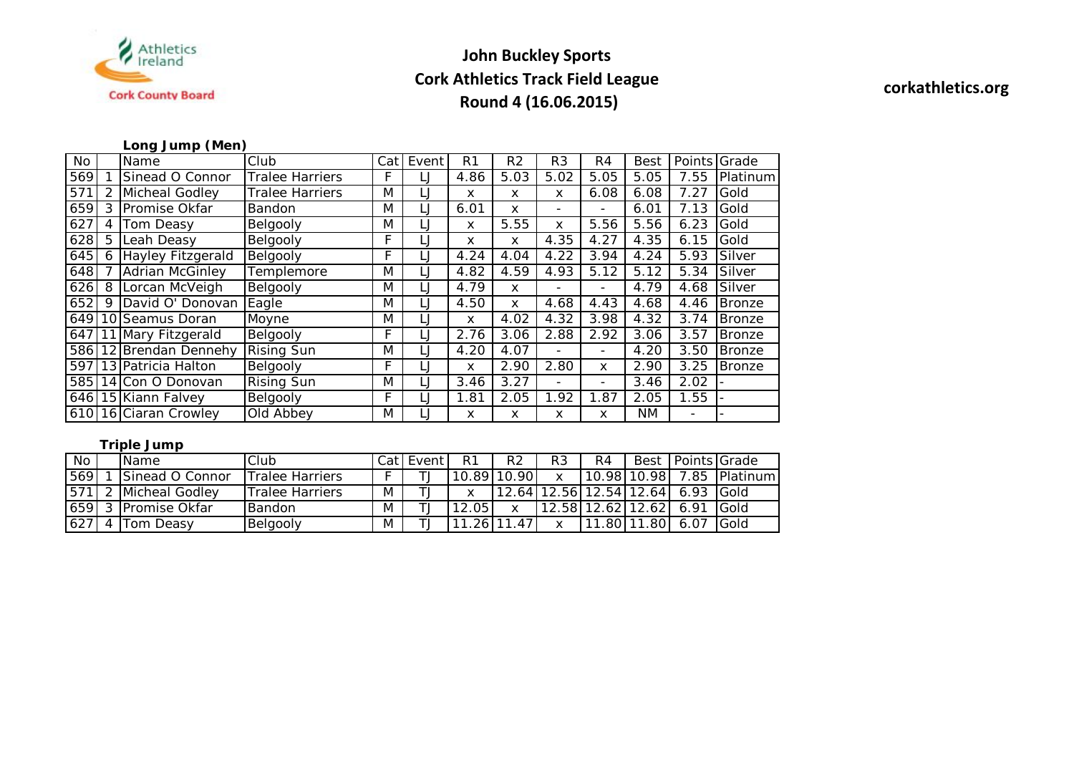

## **Long Jump (Men)**

| No  |   | Name                   | Club                   | Cat | Event | R1   | R <sub>2</sub> | R <sub>3</sub>           | R4                       | <b>Best</b> |                          | Points Grade  |
|-----|---|------------------------|------------------------|-----|-------|------|----------------|--------------------------|--------------------------|-------------|--------------------------|---------------|
| 569 |   | Sinead O Connor        | Tralee Harriers        | F   |       | 4.86 | 5.03           | 5.02                     | 5.05                     | 5.05        | 7.55                     | Platinum      |
| 571 |   | Micheal Godley         | <b>Tralee Harriers</b> | M   |       | x    | x              | x                        | 6.08                     | 6.08        | 7.27                     | Gold          |
| 659 | 3 | Promise Okfar          | Bandon                 | M   | LJ    | 6.01 | x              | $\overline{\phantom{0}}$ |                          | 6.01        | 7.13                     | Gold          |
| 627 |   | Tom Deasy              | Belgooly               | M   | IJ    | X    | 5.55           | X                        | 5.56                     | 5.56        | 6.23                     | Gold          |
| 628 | 5 | Leah Deasy             | Belgooly               | F   | IJ    | X    | x              | 4.35                     | 4.27                     | 4.35        | 6.15                     | Gold          |
| 645 | 6 | Hayley Fitzgerald      | Belgooly               | F   | IJ    | 4.24 | 4.04           | 4.22                     | 3.94                     | 4.24        | 5.93                     | Silver        |
| 648 |   | <b>Adrian McGinley</b> | Templemore             | M   | IJ    | 4.82 | 4.59           | 4.93                     | 5.12                     | 5.12        | 5.34                     | Silver        |
| 626 | 8 | Lorcan McVeigh         | Belgooly               | M   | LJ    | 4.79 | x              | $\overline{\phantom{0}}$ | -                        | 4.79        | 4.68                     | Silver        |
| 652 | 9 | David O' Donovan       | Eagle                  | M   |       | 4.50 | x              | 4.68                     | 4.43                     | 4.68        | 4.46                     | <b>Bronze</b> |
|     |   | 649 10 Seamus Doran    | Moyne                  | M   | IJ    | X    | 4.02           | 4.32                     | 3.98                     | 4.32        | 3.74                     | <b>Bronze</b> |
| 647 |   | 11 Mary Fitzgerald     | Belgooly               | F   | IJ    | 2.76 | 3.06           | 2.88                     | 2.92                     | 3.06        | 3.57                     | <b>Bronze</b> |
| 586 |   | 12 Brendan Dennehy     | <b>Rising Sun</b>      | M   | IJ    | 4.20 | 4.07           |                          | $\overline{\phantom{a}}$ | 4.20        | 3.50                     | <b>Bronze</b> |
| 597 |   | 13 Patricia Halton     | Belgooly               | F.  |       | x    | 2.90           | 2.80                     | x                        | 2.90        | 3.25                     | <b>Bronze</b> |
|     |   | 585 14 Con O Donovan   | <b>Rising Sun</b>      | M   |       | 3.46 | 3.27           |                          | $\overline{\phantom{0}}$ | 3.46        | 2.02                     |               |
|     |   | 646 15 Kiann Falvey    | Belgooly               | F   | IJ    | 1.81 | 2.05           | 1.92                     | 1.87                     | 2.05        | 1.55                     |               |
|     |   | 610 16 Ciaran Crowley  | Old Abbey              | M   |       | X    | x              | X                        | x                        | NM.         | $\overline{\phantom{a}}$ |               |

## **Triple Jump**

| No   | <b>IName</b>          | Club            | Cat | Event    | R1    | R2          | R3 | R4   |                         |      | Best   Points   Grade |
|------|-----------------------|-----------------|-----|----------|-------|-------------|----|------|-------------------------|------|-----------------------|
| 569  | Sinead O Connor       | Tralee Harriers |     |          |       | 10.89 10.90 |    |      | 10.98 10.98             |      | 7.85 Platinum         |
| .571 | Micheal Godley        | Tralee Harriers | M   |          |       | 12.64       |    |      | $12.56$   12.54   12.64 | 6.93 | <b>IGold</b>          |
| 659  | <b>IPromise Okfar</b> | <b>Bandon</b>   | M   | ◡        | 12.05 |             |    |      | 12.58 12.62 12.62       | 6 91 | <b>Gold</b>           |
| 627  | <b>Tom Deasv</b>      | Belgooly        | M   | <u>.</u> |       | 47          |    | .801 | .801<br>11              | 6.07 | Gold                  |